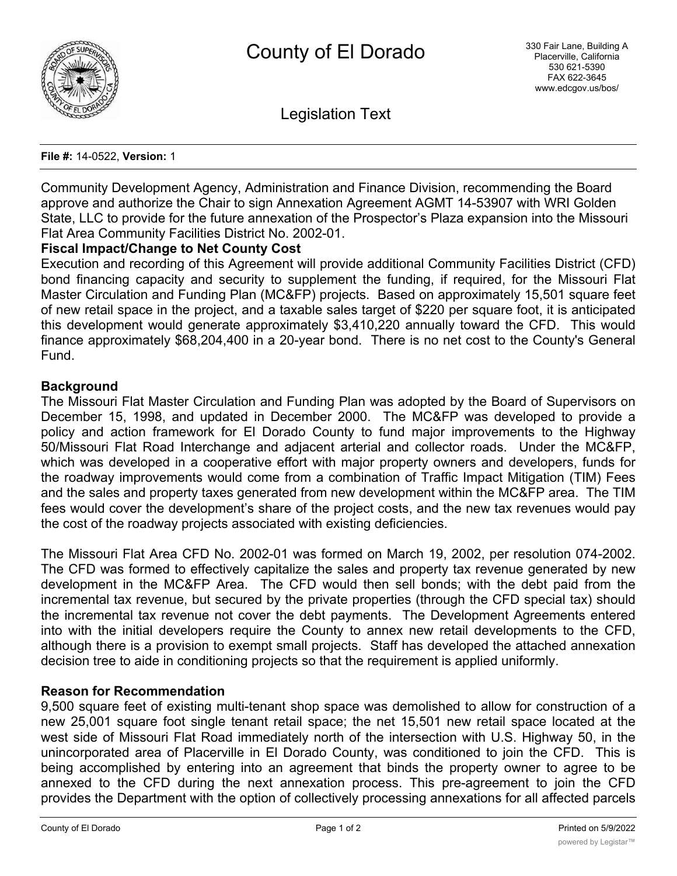

Legislation Text

### **File #:** 14-0522, **Version:** 1

Community Development Agency, Administration and Finance Division, recommending the Board approve and authorize the Chair to sign Annexation Agreement AGMT 14-53907 with WRI Golden State, LLC to provide for the future annexation of the Prospector's Plaza expansion into the Missouri Flat Area Community Facilities District No. 2002-01.

### **Fiscal Impact/Change to Net County Cost**

Execution and recording of this Agreement will provide additional Community Facilities District (CFD) bond financing capacity and security to supplement the funding, if required, for the Missouri Flat Master Circulation and Funding Plan (MC&FP) projects. Based on approximately 15,501 square feet of new retail space in the project, and a taxable sales target of \$220 per square foot, it is anticipated this development would generate approximately \$3,410,220 annually toward the CFD. This would finance approximately \$68,204,400 in a 20-year bond. There is no net cost to the County's General Fund.

### **Background**

The Missouri Flat Master Circulation and Funding Plan was adopted by the Board of Supervisors on December 15, 1998, and updated in December 2000. The MC&FP was developed to provide a policy and action framework for El Dorado County to fund major improvements to the Highway 50/Missouri Flat Road Interchange and adjacent arterial and collector roads. Under the MC&FP, which was developed in a cooperative effort with major property owners and developers, funds for the roadway improvements would come from a combination of Traffic Impact Mitigation (TIM) Fees and the sales and property taxes generated from new development within the MC&FP area. The TIM fees would cover the development's share of the project costs, and the new tax revenues would pay the cost of the roadway projects associated with existing deficiencies.

The Missouri Flat Area CFD No. 2002-01 was formed on March 19, 2002, per resolution 074-2002. The CFD was formed to effectively capitalize the sales and property tax revenue generated by new development in the MC&FP Area. The CFD would then sell bonds; with the debt paid from the incremental tax revenue, but secured by the private properties (through the CFD special tax) should the incremental tax revenue not cover the debt payments. The Development Agreements entered into with the initial developers require the County to annex new retail developments to the CFD, although there is a provision to exempt small projects. Staff has developed the attached annexation decision tree to aide in conditioning projects so that the requirement is applied uniformly.

# **Reason for Recommendation**

9,500 square feet of existing multi-tenant shop space was demolished to allow for construction of a new 25,001 square foot single tenant retail space; the net 15,501 new retail space located at the west side of Missouri Flat Road immediately north of the intersection with U.S. Highway 50, in the unincorporated area of Placerville in El Dorado County, was conditioned to join the CFD. This is being accomplished by entering into an agreement that binds the property owner to agree to be annexed to the CFD during the next annexation process. This pre-agreement to join the CFD provides the Department with the option of collectively processing annexations for all affected parcels